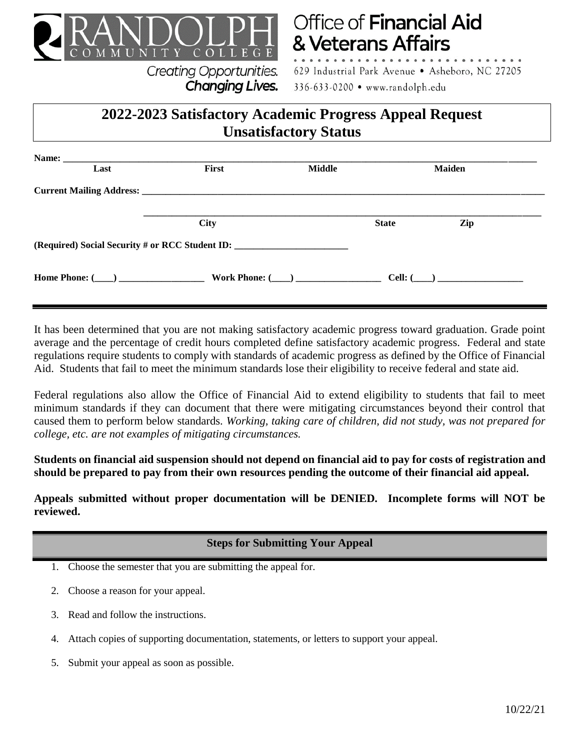

**Creating Opportunities.** 

Changing Lives.

# **Office of Financial Aid** & Veterans Affairs

629 Industrial Park Avenue · Asheboro, NC 27205 336-633-0200 • www.randolph.edu

## **2022-2023 Satisfactory Academic Progress Appeal Request Unsatisfactory Status**

| Last                                                                              | First       | Middle |              | <b>Maiden</b>  |  |
|-----------------------------------------------------------------------------------|-------------|--------|--------------|----------------|--|
|                                                                                   |             |        |              |                |  |
|                                                                                   | <b>City</b> |        | <b>State</b> | Zip            |  |
| (Required) Social Security # or RCC Student ID: _________________________________ |             |        |              |                |  |
| Home Phone: $(\_\_)$ Work Phone: $(\_\_)$                                         |             |        |              | Cell: $(\_\_)$ |  |

It has been determined that you are not making satisfactory academic progress toward graduation. Grade point average and the percentage of credit hours completed define satisfactory academic progress. Federal and state regulations require students to comply with standards of academic progress as defined by the Office of Financial Aid. Students that fail to meet the minimum standards lose their eligibility to receive federal and state aid.

Federal regulations also allow the Office of Financial Aid to extend eligibility to students that fail to meet minimum standards if they can document that there were mitigating circumstances beyond their control that caused them to perform below standards. *Working, taking care of children, did not study, was not prepared for college, etc. are not examples of mitigating circumstances.*

**Students on financial aid suspension should not depend on financial aid to pay for costs of registration and should be prepared to pay from their own resources pending the outcome of their financial aid appeal.**

**Appeals submitted without proper documentation will be DENIED. Incomplete forms will NOT be reviewed.**

**Steps for Submitting Your Appeal**

1. Choose the semester that you are submitting the appeal for.

- 2. Choose a reason for your appeal.
- 3. Read and follow the instructions.
- 4. Attach copies of supporting documentation, statements, or letters to support your appeal.
- 5. Submit your appeal as soon as possible.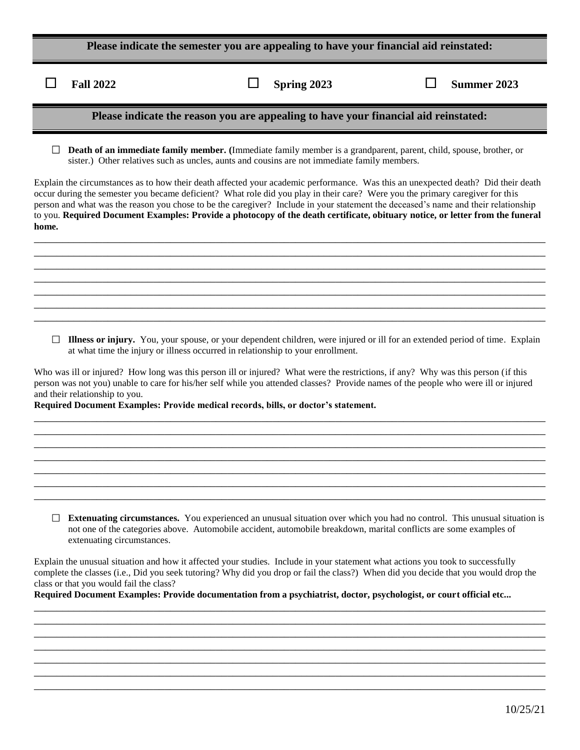| Please indicate the semester you are appealing to have your financial aid reinstated: |  |  |
|---------------------------------------------------------------------------------------|--|--|
|                                                                                       |  |  |

П

**Fall 2022 Spring 2023 Summer 2023**

#### **Please indicate the reason you are appealing to have your financial aid reinstated:**

**Death of an immediate family member. (**Immediate family member is a grandparent, parent, child, spouse, brother, or sister.) Other relatives such as uncles, aunts and cousins are not immediate family members.

Explain the circumstances as to how their death affected your academic performance. Was this an unexpected death? Did their death occur during the semester you became deficient? What role did you play in their care? Were you the primary caregiver for this person and what was the reason you chose to be the caregiver? Include in your statement the deceased's name and their relationship to you. **Required Document Examples: Provide a photocopy of the death certificate, obituary notice, or letter from the funeral home.** \_\_\_\_\_\_\_\_\_\_\_\_\_\_\_\_\_\_\_\_\_\_\_\_\_\_\_\_\_\_\_\_\_\_\_\_\_\_\_\_\_\_\_\_\_\_\_\_\_\_\_\_\_\_\_\_\_\_\_\_\_\_\_\_\_\_\_\_\_\_\_\_\_\_\_\_\_\_\_\_\_\_\_\_\_\_\_\_\_\_

\_\_\_\_\_\_\_\_\_\_\_\_\_\_\_\_\_\_\_\_\_\_\_\_\_\_\_\_\_\_\_\_\_\_\_\_\_\_\_\_\_\_\_\_\_\_\_\_\_\_\_\_\_\_\_\_\_\_\_\_\_\_\_\_\_\_\_\_\_\_\_\_\_\_\_\_\_\_\_\_\_\_\_\_\_\_\_\_\_\_ \_\_\_\_\_\_\_\_\_\_\_\_\_\_\_\_\_\_\_\_\_\_\_\_\_\_\_\_\_\_\_\_\_\_\_\_\_\_\_\_\_\_\_\_\_\_\_\_\_\_\_\_\_\_\_\_\_\_\_\_\_\_\_\_\_\_\_\_\_\_\_\_\_\_\_\_\_\_\_\_\_\_\_\_\_\_\_\_\_\_ \_\_\_\_\_\_\_\_\_\_\_\_\_\_\_\_\_\_\_\_\_\_\_\_\_\_\_\_\_\_\_\_\_\_\_\_\_\_\_\_\_\_\_\_\_\_\_\_\_\_\_\_\_\_\_\_\_\_\_\_\_\_\_\_\_\_\_\_\_\_\_\_\_\_\_\_\_\_\_\_\_\_\_\_\_\_\_\_\_\_ \_\_\_\_\_\_\_\_\_\_\_\_\_\_\_\_\_\_\_\_\_\_\_\_\_\_\_\_\_\_\_\_\_\_\_\_\_\_\_\_\_\_\_\_\_\_\_\_\_\_\_\_\_\_\_\_\_\_\_\_\_\_\_\_\_\_\_\_\_\_\_\_\_\_\_\_\_\_\_\_\_\_\_\_\_\_\_\_\_\_ \_\_\_\_\_\_\_\_\_\_\_\_\_\_\_\_\_\_\_\_\_\_\_\_\_\_\_\_\_\_\_\_\_\_\_\_\_\_\_\_\_\_\_\_\_\_\_\_\_\_\_\_\_\_\_\_\_\_\_\_\_\_\_\_\_\_\_\_\_\_\_\_\_\_\_\_\_\_\_\_\_\_\_\_\_\_\_\_\_\_ \_\_\_\_\_\_\_\_\_\_\_\_\_\_\_\_\_\_\_\_\_\_\_\_\_\_\_\_\_\_\_\_\_\_\_\_\_\_\_\_\_\_\_\_\_\_\_\_\_\_\_\_\_\_\_\_\_\_\_\_\_\_\_\_\_\_\_\_\_\_\_\_\_\_\_\_\_\_\_\_\_\_\_\_\_\_\_\_\_\_

**Illness or injury.** You, your spouse, or your dependent children, were injured or ill for an extended period of time. Explain at what time the injury or illness occurred in relationship to your enrollment.

Who was ill or injured? How long was this person ill or injured? What were the restrictions, if any? Why was this person (if this person was not you) unable to care for his/her self while you attended classes? Provide names of the people who were ill or injured and their relationship to you.

\_\_\_\_\_\_\_\_\_\_\_\_\_\_\_\_\_\_\_\_\_\_\_\_\_\_\_\_\_\_\_\_\_\_\_\_\_\_\_\_\_\_\_\_\_\_\_\_\_\_\_\_\_\_\_\_\_\_\_\_\_\_\_\_\_\_\_\_\_\_\_\_\_\_\_\_\_\_\_\_\_\_\_\_\_\_\_\_\_\_ \_\_\_\_\_\_\_\_\_\_\_\_\_\_\_\_\_\_\_\_\_\_\_\_\_\_\_\_\_\_\_\_\_\_\_\_\_\_\_\_\_\_\_\_\_\_\_\_\_\_\_\_\_\_\_\_\_\_\_\_\_\_\_\_\_\_\_\_\_\_\_\_\_\_\_\_\_\_\_\_\_\_\_\_\_\_\_\_\_\_ \_\_\_\_\_\_\_\_\_\_\_\_\_\_\_\_\_\_\_\_\_\_\_\_\_\_\_\_\_\_\_\_\_\_\_\_\_\_\_\_\_\_\_\_\_\_\_\_\_\_\_\_\_\_\_\_\_\_\_\_\_\_\_\_\_\_\_\_\_\_\_\_\_\_\_\_\_\_\_\_\_\_\_\_\_\_\_\_\_\_ \_\_\_\_\_\_\_\_\_\_\_\_\_\_\_\_\_\_\_\_\_\_\_\_\_\_\_\_\_\_\_\_\_\_\_\_\_\_\_\_\_\_\_\_\_\_\_\_\_\_\_\_\_\_\_\_\_\_\_\_\_\_\_\_\_\_\_\_\_\_\_\_\_\_\_\_\_\_\_\_\_\_\_\_\_\_\_\_\_\_ \_\_\_\_\_\_\_\_\_\_\_\_\_\_\_\_\_\_\_\_\_\_\_\_\_\_\_\_\_\_\_\_\_\_\_\_\_\_\_\_\_\_\_\_\_\_\_\_\_\_\_\_\_\_\_\_\_\_\_\_\_\_\_\_\_\_\_\_\_\_\_\_\_\_\_\_\_\_\_\_\_\_\_\_\_\_\_\_\_\_ \_\_\_\_\_\_\_\_\_\_\_\_\_\_\_\_\_\_\_\_\_\_\_\_\_\_\_\_\_\_\_\_\_\_\_\_\_\_\_\_\_\_\_\_\_\_\_\_\_\_\_\_\_\_\_\_\_\_\_\_\_\_\_\_\_\_\_\_\_\_\_\_\_\_\_\_\_\_\_\_\_\_\_\_\_\_\_\_\_\_ \_\_\_\_\_\_\_\_\_\_\_\_\_\_\_\_\_\_\_\_\_\_\_\_\_\_\_\_\_\_\_\_\_\_\_\_\_\_\_\_\_\_\_\_\_\_\_\_\_\_\_\_\_\_\_\_\_\_\_\_\_\_\_\_\_\_\_\_\_\_\_\_\_\_\_\_\_\_\_\_\_\_\_\_\_\_\_\_\_\_

**Required Document Examples: Provide medical records, bills, or doctor's statement.** 

**Extenuating circumstances.** You experienced an unusual situation over which you had no control. This unusual situation is not one of the categories above. Automobile accident, automobile breakdown, marital conflicts are some examples of extenuating circumstances.

Explain the unusual situation and how it affected your studies. Include in your statement what actions you took to successfully complete the classes (i.e., Did you seek tutoring? Why did you drop or fail the class?) When did you decide that you would drop the class or that you would fail the class?

\_\_\_\_\_\_\_\_\_\_\_\_\_\_\_\_\_\_\_\_\_\_\_\_\_\_\_\_\_\_\_\_\_\_\_\_\_\_\_\_\_\_\_\_\_\_\_\_\_\_\_\_\_\_\_\_\_\_\_\_\_\_\_\_\_\_\_\_\_\_\_\_\_\_\_\_\_\_\_\_\_\_\_\_\_\_\_\_\_\_ \_\_\_\_\_\_\_\_\_\_\_\_\_\_\_\_\_\_\_\_\_\_\_\_\_\_\_\_\_\_\_\_\_\_\_\_\_\_\_\_\_\_\_\_\_\_\_\_\_\_\_\_\_\_\_\_\_\_\_\_\_\_\_\_\_\_\_\_\_\_\_\_\_\_\_\_\_\_\_\_\_\_\_\_\_\_\_\_\_\_ \_\_\_\_\_\_\_\_\_\_\_\_\_\_\_\_\_\_\_\_\_\_\_\_\_\_\_\_\_\_\_\_\_\_\_\_\_\_\_\_\_\_\_\_\_\_\_\_\_\_\_\_\_\_\_\_\_\_\_\_\_\_\_\_\_\_\_\_\_\_\_\_\_\_\_\_\_\_\_\_\_\_\_\_\_\_\_\_\_\_ \_\_\_\_\_\_\_\_\_\_\_\_\_\_\_\_\_\_\_\_\_\_\_\_\_\_\_\_\_\_\_\_\_\_\_\_\_\_\_\_\_\_\_\_\_\_\_\_\_\_\_\_\_\_\_\_\_\_\_\_\_\_\_\_\_\_\_\_\_\_\_\_\_\_\_\_\_\_\_\_\_\_\_\_\_\_\_\_\_\_ \_\_\_\_\_\_\_\_\_\_\_\_\_\_\_\_\_\_\_\_\_\_\_\_\_\_\_\_\_\_\_\_\_\_\_\_\_\_\_\_\_\_\_\_\_\_\_\_\_\_\_\_\_\_\_\_\_\_\_\_\_\_\_\_\_\_\_\_\_\_\_\_\_\_\_\_\_\_\_\_\_\_\_\_\_\_\_\_\_\_ \_\_\_\_\_\_\_\_\_\_\_\_\_\_\_\_\_\_\_\_\_\_\_\_\_\_\_\_\_\_\_\_\_\_\_\_\_\_\_\_\_\_\_\_\_\_\_\_\_\_\_\_\_\_\_\_\_\_\_\_\_\_\_\_\_\_\_\_\_\_\_\_\_\_\_\_\_\_\_\_\_\_\_\_\_\_\_\_\_\_

**Required Document Examples: Provide documentation from a psychiatrist, doctor, psychologist, or court official etc...** \_\_\_\_\_\_\_\_\_\_\_\_\_\_\_\_\_\_\_\_\_\_\_\_\_\_\_\_\_\_\_\_\_\_\_\_\_\_\_\_\_\_\_\_\_\_\_\_\_\_\_\_\_\_\_\_\_\_\_\_\_\_\_\_\_\_\_\_\_\_\_\_\_\_\_\_\_\_\_\_\_\_\_\_\_\_\_\_\_\_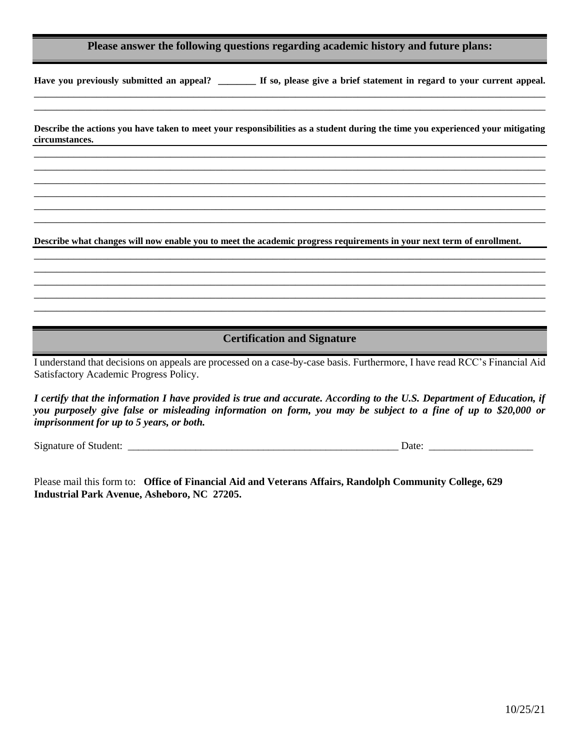#### **Please answer the following questions regarding academic history and future plans:**

**Have you previously submitted an appeal? \_\_\_\_\_\_\_\_ If so, please give a brief statement in regard to your current appeal.**  \_\_\_\_\_\_\_\_\_\_\_\_\_\_\_\_\_\_\_\_\_\_\_\_\_\_\_\_\_\_\_\_\_\_\_\_\_\_\_\_\_\_\_\_\_\_\_\_\_\_\_\_\_\_\_\_\_\_\_\_\_\_\_\_\_\_\_\_\_\_\_\_\_\_\_\_\_\_\_\_\_\_\_\_\_\_\_\_\_\_

**Describe the actions you have taken to meet your responsibilities as a student during the time you experienced your mitigating circumstances.** \_\_\_\_\_\_\_\_\_\_\_\_\_\_\_\_\_\_\_\_\_\_\_\_\_\_\_\_\_\_\_\_\_\_\_\_\_\_\_\_\_\_\_\_\_\_\_\_\_\_\_\_\_\_\_\_\_\_\_\_\_\_\_\_\_\_\_\_\_\_\_\_\_\_\_\_\_\_\_\_\_\_\_\_\_\_\_\_\_\_

\_\_\_\_\_\_\_\_\_\_\_\_\_\_\_\_\_\_\_\_\_\_\_\_\_\_\_\_\_\_\_\_\_\_\_\_\_\_\_\_\_\_\_\_\_\_\_\_\_\_\_\_\_\_\_\_\_\_\_\_\_\_\_\_\_\_\_\_\_\_\_\_\_\_\_\_\_\_\_\_\_\_\_\_\_\_\_\_\_\_ \_\_\_\_\_\_\_\_\_\_\_\_\_\_\_\_\_\_\_\_\_\_\_\_\_\_\_\_\_\_\_\_\_\_\_\_\_\_\_\_\_\_\_\_\_\_\_\_\_\_\_\_\_\_\_\_\_\_\_\_\_\_\_\_\_\_\_\_\_\_\_\_\_\_\_\_\_\_\_\_\_\_\_\_\_\_\_\_\_\_ \_\_\_\_\_\_\_\_\_\_\_\_\_\_\_\_\_\_\_\_\_\_\_\_\_\_\_\_\_\_\_\_\_\_\_\_\_\_\_\_\_\_\_\_\_\_\_\_\_\_\_\_\_\_\_\_\_\_\_\_\_\_\_\_\_\_\_\_\_\_\_\_\_\_\_\_\_\_\_\_\_\_\_\_\_\_\_\_\_\_ \_\_\_\_\_\_\_\_\_\_\_\_\_\_\_\_\_\_\_\_\_\_\_\_\_\_\_\_\_\_\_\_\_\_\_\_\_\_\_\_\_\_\_\_\_\_\_\_\_\_\_\_\_\_\_\_\_\_\_\_\_\_\_\_\_\_\_\_\_\_\_\_\_\_\_\_\_\_\_\_\_\_\_\_\_\_\_\_\_\_ \_\_\_\_\_\_\_\_\_\_\_\_\_\_\_\_\_\_\_\_\_\_\_\_\_\_\_\_\_\_\_\_\_\_\_\_\_\_\_\_\_\_\_\_\_\_\_\_\_\_\_\_\_\_\_\_\_\_\_\_\_\_\_\_\_\_\_\_\_\_\_\_\_\_\_\_\_\_\_\_\_\_\_\_\_\_\_\_\_\_

\_\_\_\_\_\_\_\_\_\_\_\_\_\_\_\_\_\_\_\_\_\_\_\_\_\_\_\_\_\_\_\_\_\_\_\_\_\_\_\_\_\_\_\_\_\_\_\_\_\_\_\_\_\_\_\_\_\_\_\_\_\_\_\_\_\_\_\_\_\_\_\_\_\_\_\_\_\_\_\_\_\_\_\_\_\_\_\_\_\_

**Describe what changes will now enable you to meet the academic progress requirements in your next term of enrollment.**

\_\_\_\_\_\_\_\_\_\_\_\_\_\_\_\_\_\_\_\_\_\_\_\_\_\_\_\_\_\_\_\_\_\_\_\_\_\_\_\_\_\_\_\_\_\_\_\_\_\_\_\_\_\_\_\_\_\_\_\_\_\_\_\_\_\_\_\_\_\_\_\_\_\_\_\_\_\_\_\_\_\_\_\_\_\_\_\_\_\_ \_\_\_\_\_\_\_\_\_\_\_\_\_\_\_\_\_\_\_\_\_\_\_\_\_\_\_\_\_\_\_\_\_\_\_\_\_\_\_\_\_\_\_\_\_\_\_\_\_\_\_\_\_\_\_\_\_\_\_\_\_\_\_\_\_\_\_\_\_\_\_\_\_\_\_\_\_\_\_\_\_\_\_\_\_\_\_\_\_\_ \_\_\_\_\_\_\_\_\_\_\_\_\_\_\_\_\_\_\_\_\_\_\_\_\_\_\_\_\_\_\_\_\_\_\_\_\_\_\_\_\_\_\_\_\_\_\_\_\_\_\_\_\_\_\_\_\_\_\_\_\_\_\_\_\_\_\_\_\_\_\_\_\_\_\_\_\_\_\_\_\_\_\_\_\_\_\_\_\_\_ \_\_\_\_\_\_\_\_\_\_\_\_\_\_\_\_\_\_\_\_\_\_\_\_\_\_\_\_\_\_\_\_\_\_\_\_\_\_\_\_\_\_\_\_\_\_\_\_\_\_\_\_\_\_\_\_\_\_\_\_\_\_\_\_\_\_\_\_\_\_\_\_\_\_\_\_\_\_\_\_\_\_\_\_\_\_\_\_\_\_ \_\_\_\_\_\_\_\_\_\_\_\_\_\_\_\_\_\_\_\_\_\_\_\_\_\_\_\_\_\_\_\_\_\_\_\_\_\_\_\_\_\_\_\_\_\_\_\_\_\_\_\_\_\_\_\_\_\_\_\_\_\_\_\_\_\_\_\_\_\_\_\_\_\_\_\_\_\_\_\_\_\_\_\_\_\_\_\_\_\_

#### **Certification and Signature**

I understand that decisions on appeals are processed on a case-by-case basis. Furthermore, I have read RCC's Financial Aid Satisfactory Academic Progress Policy.

*I certify that the information I have provided is true and accurate. According to the U.S. Department of Education, if you purposely give false or misleading information on form, you may be subject to a fine of up to \$20,000 or imprisonment for up to 5 years, or both.*

Signature of Student: \_\_\_\_\_\_\_\_\_\_\_\_\_\_\_\_\_\_\_\_\_\_\_\_\_\_\_\_\_\_\_\_\_\_\_\_\_\_\_\_\_\_\_\_\_\_\_\_\_\_\_\_ Date: \_\_\_\_\_\_\_\_\_\_\_\_\_\_\_\_\_\_\_\_

Please mail this form to: **Office of Financial Aid and Veterans Affairs, Randolph Community College, 629 Industrial Park Avenue, Asheboro, NC 27205.**